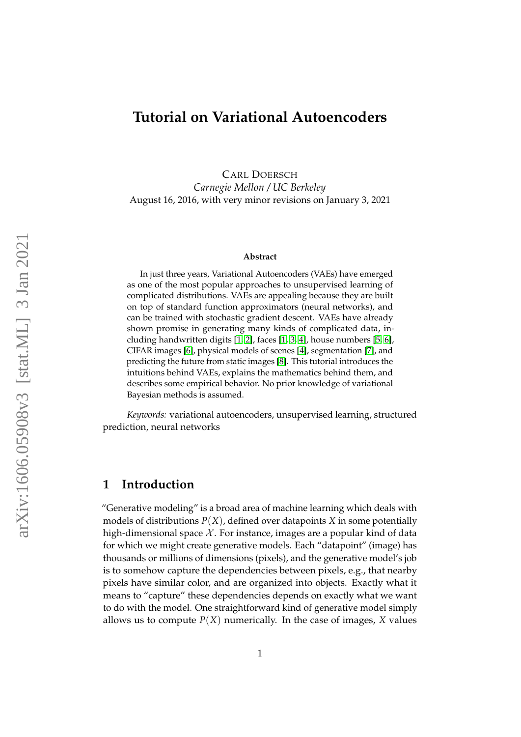# **Tutorial on Variational Autoencoders**

CARL DOERSCH *Carnegie Mellon / UC Berkeley* August 16, 2016, with very minor revisions on January 3, 2021

#### **Abstract**

In just three years, Variational Autoencoders (VAEs) have emerged as one of the most popular approaches to unsupervised learning of complicated distributions. VAEs are appealing because they are built on top of standard function approximators (neural networks), and can be trained with stochastic gradient descent. VAEs have already shown promise in generating many kinds of complicated data, including handwritten digits [\[1,](#page-20-0) [2\]](#page-20-1), faces [\[1,](#page-20-0) [3,](#page-20-2) [4\]](#page-20-3), house numbers [\[5,](#page-20-4) [6\]](#page-20-5), CIFAR images [\[6\]](#page-20-5), physical models of scenes [\[4\]](#page-20-3), segmentation [\[7\]](#page-21-0), and predicting the future from static images [\[8\]](#page-21-1). This tutorial introduces the intuitions behind VAEs, explains the mathematics behind them, and describes some empirical behavior. No prior knowledge of variational Bayesian methods is assumed.

*Keywords:* variational autoencoders, unsupervised learning, structured prediction, neural networks

### **1 Introduction**

"Generative modeling" is a broad area of machine learning which deals with models of distributions  $P(X)$ , defined over datapoints *X* in some potentially high-dimensional space  $\mathcal X$ . For instance, images are a popular kind of data for which we might create generative models. Each "datapoint" (image) has thousands or millions of dimensions (pixels), and the generative model's job is to somehow capture the dependencies between pixels, e.g., that nearby pixels have similar color, and are organized into objects. Exactly what it means to "capture" these dependencies depends on exactly what we want to do with the model. One straightforward kind of generative model simply allows us to compute  $P(X)$  numerically. In the case of images, *X* values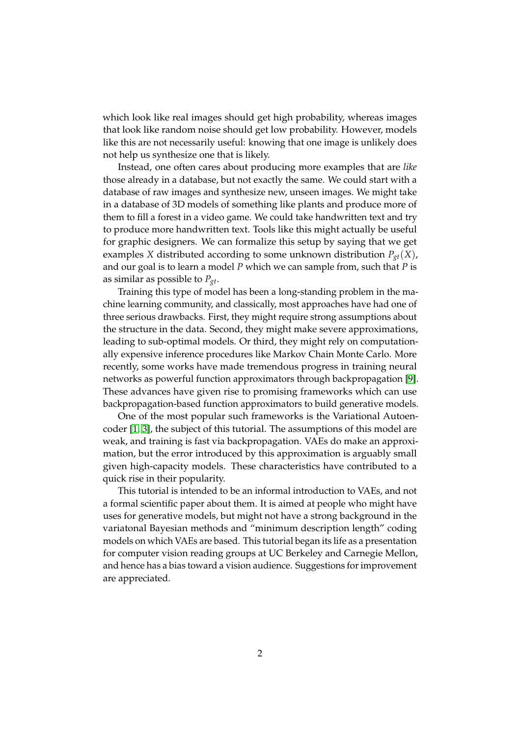which look like real images should get high probability, whereas images that look like random noise should get low probability. However, models like this are not necessarily useful: knowing that one image is unlikely does not help us synthesize one that is likely.

Instead, one often cares about producing more examples that are *like* those already in a database, but not exactly the same. We could start with a database of raw images and synthesize new, unseen images. We might take in a database of 3D models of something like plants and produce more of them to fill a forest in a video game. We could take handwritten text and try to produce more handwritten text. Tools like this might actually be useful for graphic designers. We can formalize this setup by saying that we get examples *X* distributed according to some unknown distribution *Pgt*(*X*), and our goal is to learn a model *P* which we can sample from, such that *P* is as similar as possible to  $P_{gt}$ .

Training this type of model has been a long-standing problem in the machine learning community, and classically, most approaches have had one of three serious drawbacks. First, they might require strong assumptions about the structure in the data. Second, they might make severe approximations, leading to sub-optimal models. Or third, they might rely on computationally expensive inference procedures like Markov Chain Monte Carlo. More recently, some works have made tremendous progress in training neural networks as powerful function approximators through backpropagation [\[9\]](#page-21-2). These advances have given rise to promising frameworks which can use backpropagation-based function approximators to build generative models.

One of the most popular such frameworks is the Variational Autoencoder [\[1,](#page-20-0) [3\]](#page-20-2), the subject of this tutorial. The assumptions of this model are weak, and training is fast via backpropagation. VAEs do make an approximation, but the error introduced by this approximation is arguably small given high-capacity models. These characteristics have contributed to a quick rise in their popularity.

This tutorial is intended to be an informal introduction to VAEs, and not a formal scientific paper about them. It is aimed at people who might have uses for generative models, but might not have a strong background in the variatonal Bayesian methods and "minimum description length" coding models on which VAEs are based. This tutorial began its life as a presentation for computer vision reading groups at UC Berkeley and Carnegie Mellon, and hence has a bias toward a vision audience. Suggestions for improvement are appreciated.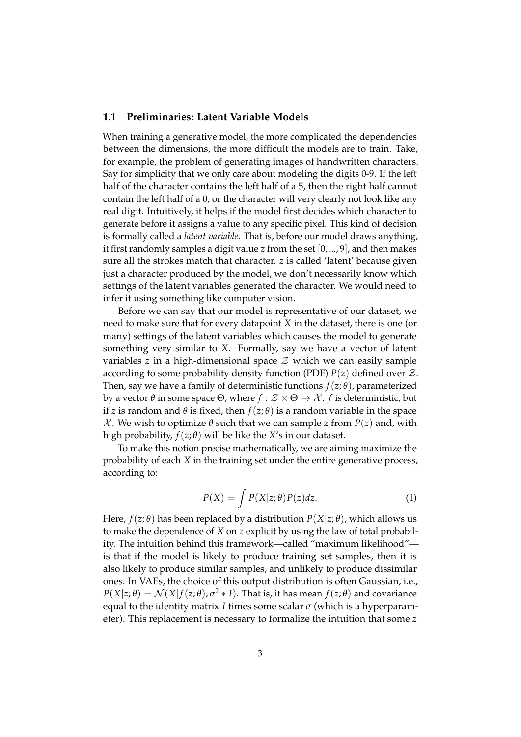#### **1.1 Preliminaries: Latent Variable Models**

When training a generative model, the more complicated the dependencies between the dimensions, the more difficult the models are to train. Take, for example, the problem of generating images of handwritten characters. Say for simplicity that we only care about modeling the digits 0-9. If the left half of the character contains the left half of a 5, then the right half cannot contain the left half of a 0, or the character will very clearly not look like any real digit. Intuitively, it helps if the model first decides which character to generate before it assigns a value to any specific pixel. This kind of decision is formally called a *latent variable*. That is, before our model draws anything, it first randomly samples a digit value *z* from the set [0, ..., 9], and then makes sure all the strokes match that character. *z* is called 'latent' because given just a character produced by the model, we don't necessarily know which settings of the latent variables generated the character. We would need to infer it using something like computer vision.

Before we can say that our model is representative of our dataset, we need to make sure that for every datapoint *X* in the dataset, there is one (or many) settings of the latent variables which causes the model to generate something very similar to *X*. Formally, say we have a vector of latent variables  $z$  in a high-dimensional space  $\mathcal Z$  which we can easily sample according to some probability density function (PDF)  $P(z)$  defined over  $\mathcal{Z}$ . Then, say we have a family of deterministic functions  $f(z; \theta)$ , parameterized by a vector *θ* in some space Θ, where *f* : Z × Θ → X . *f* is deterministic, but if *z* is random and  $\theta$  is fixed, then  $f(z; \theta)$  is a random variable in the space *X*. We wish to optimize *θ* such that we can sample *z* from  $P(z)$  and, with high probability,  $f(z; \theta)$  will be like the *X*'s in our dataset.

<span id="page-2-0"></span>To make this notion precise mathematically, we are aiming maximize the probability of each *X* in the training set under the entire generative process, according to:

$$
P(X) = \int P(X|z;\theta)P(z)dz.
$$
 (1)

Here,  $f(z; \theta)$  has been replaced by a distribution  $P(X|z; \theta)$ , which allows us to make the dependence of *X* on *z* explicit by using the law of total probability. The intuition behind this framework—called "maximum likelihood" is that if the model is likely to produce training set samples, then it is also likely to produce similar samples, and unlikely to produce dissimilar ones. In VAEs, the choice of this output distribution is often Gaussian, i.e.,  $P(X|z;\theta) = \mathcal{N}(X|f(z;\theta), \sigma^2 * I)$ . That is, it has mean  $f(z;\theta)$  and covariance equal to the identity matrix *I* times some scalar  $\sigma$  (which is a hyperparameter). This replacement is necessary to formalize the intuition that some *z*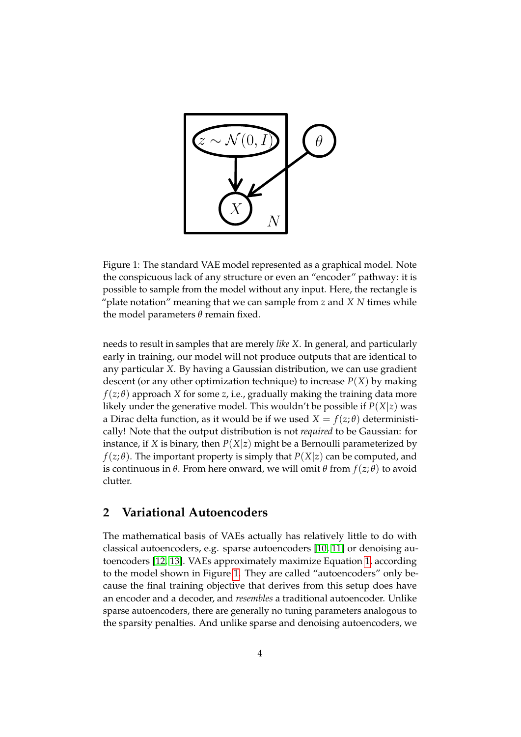

<span id="page-3-0"></span>Figure 1: The standard VAE model represented as a graphical model. Note the conspicuous lack of any structure or even an "encoder" pathway: it is possible to sample from the model without any input. Here, the rectangle is "plate notation" meaning that we can sample from *z* and *X N* times while the model parameters *θ* remain fixed.

needs to result in samples that are merely *like X*. In general, and particularly early in training, our model will not produce outputs that are identical to any particular *X*. By having a Gaussian distribution, we can use gradient descent (or any other optimization technique) to increase  $P(X)$  by making  $f(z; \theta)$  approach *X* for some *z*, i.e., gradually making the training data more likely under the generative model. This wouldn't be possible if  $P(X|z)$  was a Dirac delta function, as it would be if we used  $X = f(z; \theta)$  deterministically! Note that the output distribution is not *required* to be Gaussian: for instance, if *X* is binary, then  $P(X|z)$  might be a Bernoulli parameterized by *f*( $z$ ; $\theta$ ). The important property is simply that  $P(X|z)$  can be computed, and is continuous in *θ*. From here onward, we will omit *θ* from *f*(*z*; *θ*) to avoid clutter.

### <span id="page-3-1"></span>**2 Variational Autoencoders**

The mathematical basis of VAEs actually has relatively little to do with classical autoencoders, e.g. sparse autoencoders [\[10,](#page-21-3) [11\]](#page-21-4) or denoising autoencoders [\[12,](#page-21-5) [13\]](#page-21-6). VAEs approximately maximize Equation [1,](#page-2-0) according to the model shown in Figure [1.](#page-3-0) They are called "autoencoders" only because the final training objective that derives from this setup does have an encoder and a decoder, and *resembles* a traditional autoencoder. Unlike sparse autoencoders, there are generally no tuning parameters analogous to the sparsity penalties. And unlike sparse and denoising autoencoders, we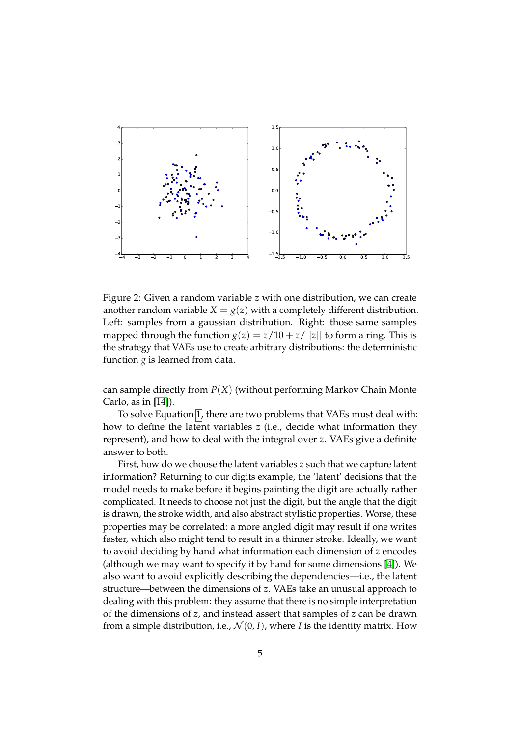

<span id="page-4-0"></span>Figure 2: Given a random variable *z* with one distribution, we can create another random variable  $X = g(z)$  with a completely different distribution. Left: samples from a gaussian distribution. Right: those same samples mapped through the function  $g(z) = z/10 + z/||z||$  to form a ring. This is the strategy that VAEs use to create arbitrary distributions: the deterministic function  $g$  is learned from data.

can sample directly from *P*(*X*) (without performing Markov Chain Monte Carlo, as in [\[14\]](#page-21-7)).

To solve Equation [1,](#page-2-0) there are two problems that VAEs must deal with: how to define the latent variables *z* (i.e., decide what information they represent), and how to deal with the integral over *z*. VAEs give a definite answer to both.

First, how do we choose the latent variables *z* such that we capture latent information? Returning to our digits example, the 'latent' decisions that the model needs to make before it begins painting the digit are actually rather complicated. It needs to choose not just the digit, but the angle that the digit is drawn, the stroke width, and also abstract stylistic properties. Worse, these properties may be correlated: a more angled digit may result if one writes faster, which also might tend to result in a thinner stroke. Ideally, we want to avoid deciding by hand what information each dimension of *z* encodes (although we may want to specify it by hand for some dimensions [\[4\]](#page-20-3)). We also want to avoid explicitly describing the dependencies—i.e., the latent structure—between the dimensions of *z*. VAEs take an unusual approach to dealing with this problem: they assume that there is no simple interpretation of the dimensions of *z*, and instead assert that samples of *z* can be drawn from a simple distribution, i.e.,  $\mathcal{N}(0, I)$ , where *I* is the identity matrix. How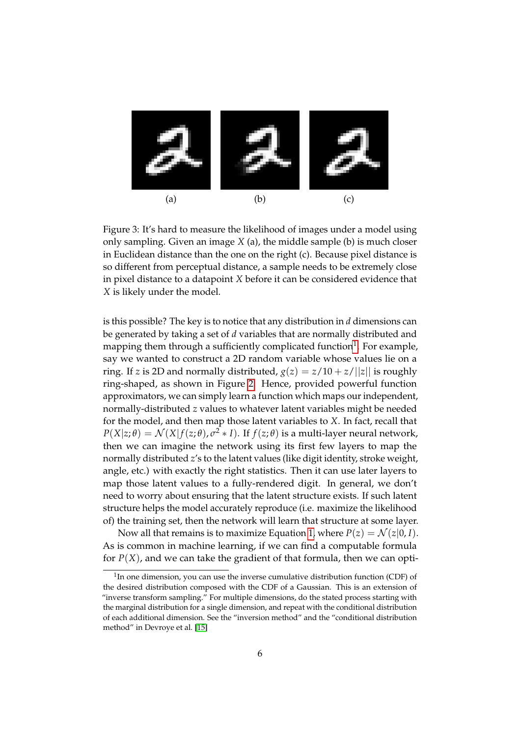

<span id="page-5-1"></span>Figure 3: It's hard to measure the likelihood of images under a model using only sampling. Given an image *X* (a), the middle sample (b) is much closer in Euclidean distance than the one on the right (c). Because pixel distance is so different from perceptual distance, a sample needs to be extremely close in pixel distance to a datapoint *X* before it can be considered evidence that *X* is likely under the model.

is this possible? The key is to notice that any distribution in *d* dimensions can be generated by taking a set of *d* variables that are normally distributed and mapping them through a sufficiently complicated function<sup>[1](#page-5-0)</sup>. For example, say we wanted to construct a 2D random variable whose values lie on a ring. If *z* is 2D and normally distributed,  $g(z) = \frac{z}{10} + \frac{z}{|z|}$  is roughly ring-shaped, as shown in Figure [2.](#page-4-0) Hence, provided powerful function approximators, we can simply learn a function which maps our independent, normally-distributed *z* values to whatever latent variables might be needed for the model, and then map those latent variables to *X*. In fact, recall that  $P(X|z;\theta) = \mathcal{N}(X|f(z;\theta), \sigma^2 * I)$ . If  $f(z;\theta)$  is a multi-layer neural network, then we can imagine the network using its first few layers to map the normally distributed *z*'s to the latent values (like digit identity, stroke weight, angle, etc.) with exactly the right statistics. Then it can use later layers to map those latent values to a fully-rendered digit. In general, we don't need to worry about ensuring that the latent structure exists. If such latent structure helps the model accurately reproduce (i.e. maximize the likelihood of) the training set, then the network will learn that structure at some layer.

Now all that remains is to maximize Equation [1,](#page-2-0) where  $P(z) = \mathcal{N}(z|0, I)$ . As is common in machine learning, if we can find a computable formula for  $P(X)$ , and we can take the gradient of that formula, then we can opti-

<span id="page-5-0"></span> $1$ In one dimension, you can use the inverse cumulative distribution function (CDF) of the desired distribution composed with the CDF of a Gaussian. This is an extension of "inverse transform sampling." For multiple dimensions, do the stated process starting with the marginal distribution for a single dimension, and repeat with the conditional distribution of each additional dimension. See the "inversion method" and the "conditional distribution method" in Devroye et al. [\[15\]](#page-21-8)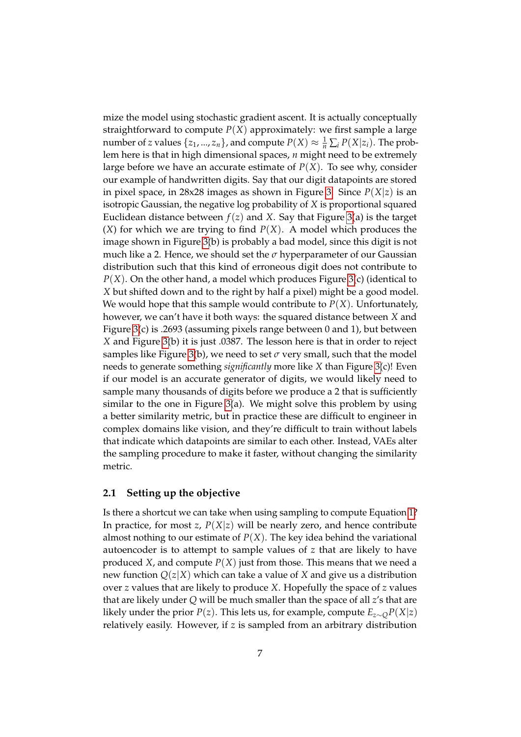mize the model using stochastic gradient ascent. It is actually conceptually straightforward to compute  $P(X)$  approximately: we first sample a large number of *z* values  $\{z_1, ..., z_n\}$ , and compute  $P(X) \approx \frac{1}{n} \sum_i P(X|z_i)$ . The problem here is that in high dimensional spaces, *n* might need to be extremely large before we have an accurate estimate of  $P(X)$ . To see why, consider our example of handwritten digits. Say that our digit datapoints are stored in pixel space, in 28x28 images as shown in Figure [3.](#page-5-1) Since *P*(*X*|*z*) is an isotropic Gaussian, the negative log probability of *X* is proportional squared Euclidean distance between  $f(z)$  and *X*. Say that Figure [3\(](#page-5-1)a) is the target  $(X)$  for which we are trying to find  $P(X)$ . A model which produces the image shown in Figure [3\(](#page-5-1)b) is probably a bad model, since this digit is not much like a 2. Hence, we should set the  $\sigma$  hyperparameter of our Gaussian distribution such that this kind of erroneous digit does not contribute to *P*(*X*). On the other hand, a model which produces Figure [3\(](#page-5-1)c) (identical to *X* but shifted down and to the right by half a pixel) might be a good model. We would hope that this sample would contribute to  $P(X)$ . Unfortunately, however, we can't have it both ways: the squared distance between *X* and Figure [3\(](#page-5-1)c) is .2693 (assuming pixels range between 0 and 1), but between *X* and Figure [3\(](#page-5-1)b) it is just .0387. The lesson here is that in order to reject samples like Figure [3\(](#page-5-1)b), we need to set  $\sigma$  very small, such that the model needs to generate something *significantly* more like *X* than Figure [3\(](#page-5-1)c)! Even if our model is an accurate generator of digits, we would likely need to sample many thousands of digits before we produce a 2 that is sufficiently similar to the one in Figure [3\(](#page-5-1)a). We might solve this problem by using a better similarity metric, but in practice these are difficult to engineer in complex domains like vision, and they're difficult to train without labels that indicate which datapoints are similar to each other. Instead, VAEs alter the sampling procedure to make it faster, without changing the similarity metric.

#### **2.1 Setting up the objective**

Is there a shortcut we can take when using sampling to compute Equation [1?](#page-2-0) In practice, for most *z*,  $P(X|z)$  will be nearly zero, and hence contribute almost nothing to our estimate of *P*(*X*). The key idea behind the variational autoencoder is to attempt to sample values of *z* that are likely to have produced *X*, and compute  $P(X)$  just from those. This means that we need a new function  $Q(z|X)$  which can take a value of *X* and give us a distribution over *z* values that are likely to produce *X*. Hopefully the space of *z* values that are likely under *Q* will be much smaller than the space of all *z*'s that are likely under the prior *P*(*z*). This lets us, for example, compute  $E_{z\sim Q}P(X|z)$ relatively easily. However, if *z* is sampled from an arbitrary distribution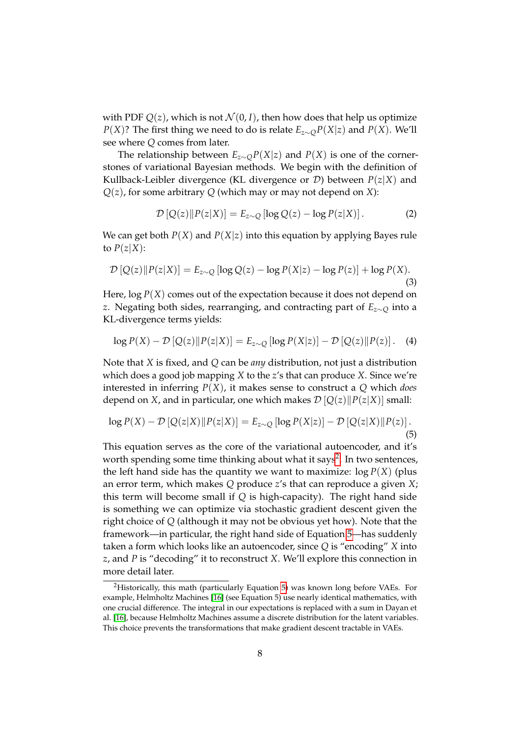with PDF  $Q(z)$ , which is not  $\mathcal{N}(0, I)$ , then how does that help us optimize *P*(*X*)? The first thing we need to do is relate *Ez*∼*QP*(*X*|*z*) and *P*(*X*). We'll see where *Q* comes from later.

The relationship between  $E_{z\sim Q}P(X|z)$  and  $P(X)$  is one of the cornerstones of variational Bayesian methods. We begin with the definition of Kullback-Leibler divergence (KL divergence or D) between *P*(*z*|*X*) and *Q*(*z*), for some arbitrary *Q* (which may or may not depend on *X*):

<span id="page-7-2"></span>
$$
\mathcal{D}\left[Q(z)\right||P(z|X)\right] = E_{z \sim Q}\left[\log Q(z) - \log P(z|X)\right].\tag{2}
$$

We can get both  $P(X)$  and  $P(X|z)$  into this equation by applying Bayes rule to  $P(z|X)$ :

$$
\mathcal{D}\left[Q(z)\right||P(z|X)\right] = E_{z \sim Q}\left[\log Q(z) - \log P(X|z) - \log P(z)\right] + \log P(X). \tag{3}
$$

Here,  $\log P(X)$  comes out of the expectation because it does not depend on *z*. Negating both sides, rearranging, and contracting part of *Ez*∼*<sup>Q</sup>* into a KL-divergence terms yields:

<span id="page-7-1"></span>
$$
\log P(X) - \mathcal{D}\left[Q(z) \| P(z|X)\right] = E_{z \sim Q} \left[ \log P(X|z) \right] - \mathcal{D}\left[Q(z) \| P(z)\right]. \tag{4}
$$

Note that *X* is fixed, and *Q* can be *any* distribution, not just a distribution which does a good job mapping *X* to the *z*'s that can produce *X*. Since we're interested in inferring *P*(*X*), it makes sense to construct a *Q* which *does* depend on *X*, and in particular, one which makes  $\mathcal{D}[Q(z)||P(z|X)]$  small:

$$
\log P(X) - \mathcal{D}\left[Q(z|X)\right]P(z|X)\right] = E_{z \sim Q}\left[\log P(X|z)\right] - \mathcal{D}\left[Q(z|X)\right]P(z)\right].\tag{5}
$$

This equation serves as the core of the variational autoencoder, and it's worth spending some time thinking about what it says<sup>[2](#page-7-0)</sup>. In two sentences, the left hand side has the quantity we want to maximize:  $log P(X)$  (plus an error term, which makes *Q* produce *z*'s that can reproduce a given *X*; this term will become small if *Q* is high-capacity). The right hand side is something we can optimize via stochastic gradient descent given the right choice of *Q* (although it may not be obvious yet how). Note that the framework—in particular, the right hand side of Equation [5—](#page-7-1)has suddenly taken a form which looks like an autoencoder, since *Q* is "encoding" *X* into *z*, and *P* is "decoding" it to reconstruct *X*. We'll explore this connection in more detail later.

<span id="page-7-0"></span><sup>&</sup>lt;sup>2</sup>Historically, this math (particularly Equation [5\)](#page-7-1) was known long before VAEs. For example, Helmholtz Machines [\[16\]](#page-21-9) (see Equation 5) use nearly identical mathematics, with one crucial difference. The integral in our expectations is replaced with a sum in Dayan et al. [\[16\]](#page-21-9), because Helmholtz Machines assume a discrete distribution for the latent variables. This choice prevents the transformations that make gradient descent tractable in VAEs.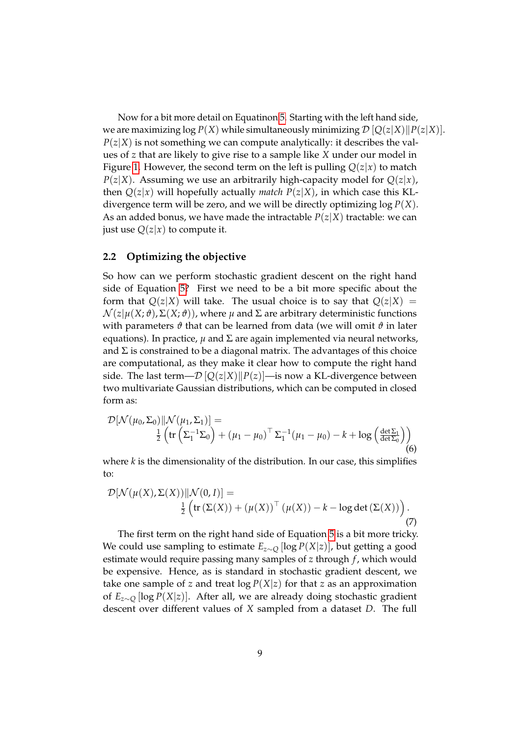Now for a bit more detail on Equatinon [5.](#page-7-1) Starting with the left hand side, we are maximizing  $\log P(X)$  while simultaneously minimizing  $\mathcal{D}[Q(z|X)||P(z|X)].$  $P(z|X)$  is not something we can compute analytically: it describes the values of *z* that are likely to give rise to a sample like *X* under our model in Figure [1.](#page-3-0) However, the second term on the left is pulling  $Q(z|x)$  to match  $P(z|X)$ . Assuming we use an arbitrarily high-capacity model for  $Q(z|x)$ , then  $Q(z|x)$  will hopefully actually *match*  $P(z|X)$ , in which case this KLdivergence term will be zero, and we will be directly optimizing log *P*(*X*). As an added bonus, we have made the intractable  $P(z|X)$  tractable: we can just use  $Q(z|x)$  to compute it.

#### **2.2 Optimizing the objective**

So how can we perform stochastic gradient descent on the right hand side of Equation [5?](#page-7-1) First we need to be a bit more specific about the form that  $Q(z|X)$  will take. The usual choice is to say that  $Q(z|X)$  =  $\mathcal{N}(z|\mu(X; \theta), \Sigma(X; \theta))$ , where  $\mu$  and  $\Sigma$  are arbitrary deterministic functions with parameters  $\vartheta$  that can be learned from data (we will omit  $\vartheta$  in later equations). In practice,  $\mu$  and  $\Sigma$  are again implemented via neural networks, and  $\Sigma$  is constrained to be a diagonal matrix. The advantages of this choice are computational, as they make it clear how to compute the right hand side. The last term— $\mathcal{D}[Q(z|X)||P(z)]$ —is now a KL-divergence between two multivariate Gaussian distributions, which can be computed in closed form as:

$$
\mathcal{D}[\mathcal{N}(\mu_0, \Sigma_0) \| \mathcal{N}(\mu_1, \Sigma_1)] =
$$
  

$$
\frac{1}{2} \left( \text{tr} \left( \Sigma_1^{-1} \Sigma_0 \right) + (\mu_1 - \mu_0)^\top \Sigma_1^{-1} (\mu_1 - \mu_0) - k + \log \left( \frac{\det \Sigma_1}{\det \Sigma_0} \right) \right)
$$
  
(6)

where *k* is the dimensionality of the distribution. In our case, this simplifies to:

$$
\mathcal{D}[\mathcal{N}(\mu(X), \Sigma(X)) || \mathcal{N}(0, I)] =
$$
  

$$
\frac{1}{2} \left( \text{tr}(\Sigma(X)) + (\mu(X))^\top (\mu(X)) - k - \log \det(\Sigma(X)) \right).
$$
  
(7)

The first term on the right hand side of Equation [5](#page-7-1) is a bit more tricky. We could use sampling to estimate *Ez*∼*<sup>Q</sup>* [log *P*(*X*|*z*)], but getting a good estimate would require passing many samples of *z* through *f* , which would be expensive. Hence, as is standard in stochastic gradient descent, we take one sample of *z* and treat  $\log P(X|z)$  for that *z* as an approximation of *Ez*∼*<sup>Q</sup>* [log *P*(*X*|*z*)]. After all, we are already doing stochastic gradient descent over different values of *X* sampled from a dataset *D*. The full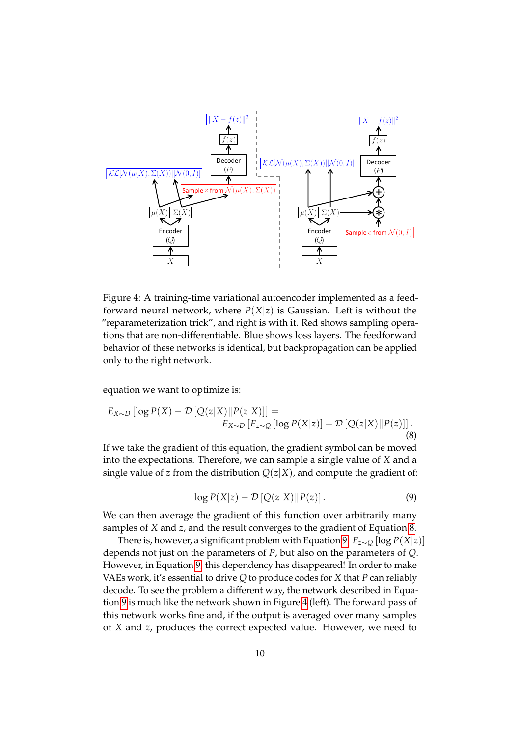

<span id="page-9-2"></span>Figure 4: A training-time variational autoencoder implemented as a feedforward neural network, where  $P(X|z)$  is Gaussian. Left is without the "reparameterization trick", and right is with it. Red shows sampling operations that are non-differentiable. Blue shows loss layers. The feedforward behavior of these networks is identical, but backpropagation can be applied only to the right network.

equation we want to optimize is:

$$
E_{X \sim D} [\log P(X) - \mathcal{D} [Q(z|X)||P(z|X)]] =
$$
  
\n
$$
E_{X \sim D} [E_{z \sim Q} [\log P(X|z)] - \mathcal{D} [Q(z|X)||P(z)]].
$$
\n(8)

<span id="page-9-1"></span>If we take the gradient of this equation, the gradient symbol can be moved into the expectations. Therefore, we can sample a single value of *X* and a single value of *z* from the distribution  $Q(z|X)$ , and compute the gradient of:

<span id="page-9-0"></span>
$$
\log P(X|z) - \mathcal{D}\left[Q(z|X)\|P(z)\right].\tag{9}
$$

We can then average the gradient of this function over arbitrarily many samples of *X* and *z*, and the result converges to the gradient of Equation [8.](#page-9-0)

There is, however, a significant problem with Equation [9.](#page-9-1)  $E_{z\sim Q}$  [log  $P(X|z)$ ] depends not just on the parameters of *P*, but also on the parameters of *Q*. However, in Equation [9,](#page-9-1) this dependency has disappeared! In order to make VAEs work, it's essential to drive *Q* to produce codes for *X* that *P* can reliably decode. To see the problem a different way, the network described in Equation [9](#page-9-1) is much like the network shown in Figure [4](#page-9-2) (left). The forward pass of this network works fine and, if the output is averaged over many samples of *X* and *z*, produces the correct expected value. However, we need to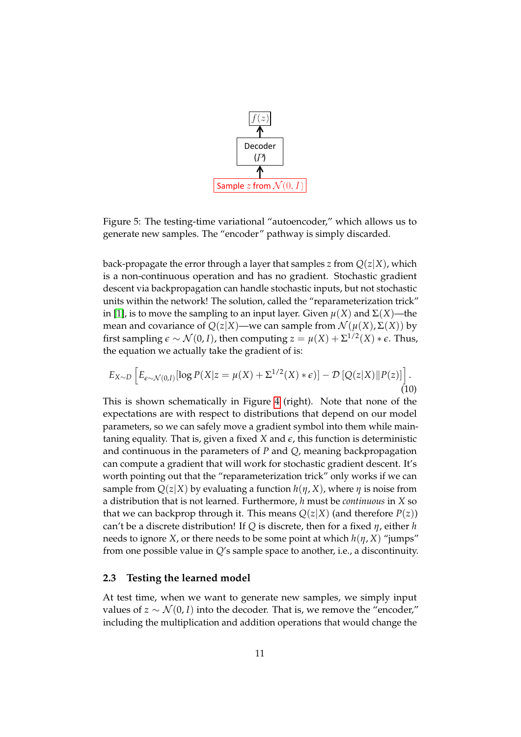

<span id="page-10-0"></span>Figure 5: The testing-time variational "autoencoder," which allows us to generate new samples. The "encoder" pathway is simply discarded.

back-propagate the error through a layer that samples *z* from  $Q(z|X)$ , which is a non-continuous operation and has no gradient. Stochastic gradient descent via backpropagation can handle stochastic inputs, but not stochastic units within the network! The solution, called the "reparameterization trick" in [\[1\]](#page-20-0), is to move the sampling to an input layer. Given  $\mu(X)$  and  $\Sigma(X)$ —the mean and covariance of  $Q(z|X)$ —we can sample from  $\mathcal{N}(\mu(X), \Sigma(X))$  by first sampling  $\epsilon \sim \mathcal{N}(0,I)$ , then computing  $z = \mu(X) + \Sigma^{1/2}(X) * \epsilon$ . Thus, the equation we actually take the gradient of is:

$$
E_{X \sim D} \left[ E_{\epsilon \sim \mathcal{N}(0,I)} [\log P(X|z = \mu(X) + \Sigma^{1/2}(X) * \epsilon)] - \mathcal{D} \left[ Q(z|X) \| P(z) \right] \right]. \tag{10}
$$

This is shown schematically in Figure [4](#page-9-2) (right). Note that none of the expectations are with respect to distributions that depend on our model parameters, so we can safely move a gradient symbol into them while maintaning equality. That is, given a fixed  $X$  and  $\epsilon$ , this function is deterministic and continuous in the parameters of *P* and *Q*, meaning backpropagation can compute a gradient that will work for stochastic gradient descent. It's worth pointing out that the "reparameterization trick" only works if we can sample from  $Q(z|X)$  by evaluating a function  $h(\eta, X)$ , where  $\eta$  is noise from a distribution that is not learned. Furthermore, *h* must be *continuous* in *X* so that we can backprop through it. This means  $Q(z|X)$  (and therefore  $P(z)$ ) can't be a discrete distribution! If *Q* is discrete, then for a fixed *η*, either *h* needs to ignore *X*, or there needs to be some point at which  $h(\eta, X)$  "jumps" from one possible value in *Q*'s sample space to another, i.e., a discontinuity.

#### **2.3 Testing the learned model**

At test time, when we want to generate new samples, we simply input values of *z* ∼  $\mathcal{N}(0, I)$  into the decoder. That is, we remove the "encoder," including the multiplication and addition operations that would change the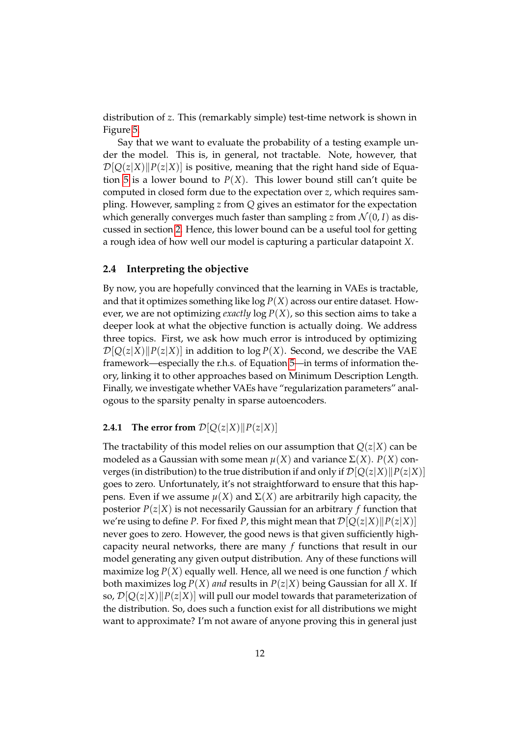distribution of *z*. This (remarkably simple) test-time network is shown in Figure [5.](#page-10-0)

Say that we want to evaluate the probability of a testing example under the model. This is, in general, not tractable. Note, however, that  $\mathcal{D}[Q(z|X)||P(z|X)]$  is positive, meaning that the right hand side of Equa-tion [5](#page-7-1) is a lower bound to  $P(X)$ . This lower bound still can't quite be computed in closed form due to the expectation over *z*, which requires sampling. However, sampling *z* from *Q* gives an estimator for the expectation which generally converges much faster than sampling *z* from  $\mathcal{N}(0, I)$  as discussed in section [2.](#page-3-1) Hence, this lower bound can be a useful tool for getting a rough idea of how well our model is capturing a particular datapoint *X*.

#### **2.4 Interpreting the objective**

By now, you are hopefully convinced that the learning in VAEs is tractable, and that it optimizes something like log *P*(*X*) across our entire dataset. However, we are not optimizing *exactly*  $\log P(X)$ , so this section aims to take a deeper look at what the objective function is actually doing. We address three topics. First, we ask how much error is introduced by optimizing  $\mathcal{D}[Q(z|X)||P(z|X)]$  in addition to log  $P(X)$ . Second, we describe the VAE framework—especially the r.h.s. of Equation [5—](#page-7-1)in terms of information theory, linking it to other approaches based on Minimum Description Length. Finally, we investigate whether VAEs have "regularization parameters" analogous to the sparsity penalty in sparse autoencoders.

#### **2.4.1** The error from  $\mathcal{D}[Q(z|X)||P(z|X)]$

The tractability of this model relies on our assumption that  $Q(z|X)$  can be modeled as a Gaussian with some mean  $\mu$ (*X*) and variance Σ(*X*). *P*(*X*) converges (in distribution) to the true distribution if and only if  $\mathcal{D}[Q(z|X)||P(z|X)]$ goes to zero. Unfortunately, it's not straightforward to ensure that this happens. Even if we assume *µ*(*X*) and Σ(*X*) are arbitrarily high capacity, the posterior  $P(z|X)$  is not necessarily Gaussian for an arbitrary *f* function that we're using to define *P*. For fixed *P*, this might mean that  $\mathcal{D}[Q(z|X)||P(z|X)]$ never goes to zero. However, the good news is that given sufficiently highcapacity neural networks, there are many *f* functions that result in our model generating any given output distribution. Any of these functions will maximize  $log P(X)$  equally well. Hence, all we need is one function  $f$  which both maximizes  $\log P(X)$  *and* results in  $P(z|X)$  being Gaussian for all X. If so,  $\mathcal{D}[Q(z|X)||P(z|X)]$  will pull our model towards that parameterization of the distribution. So, does such a function exist for all distributions we might want to approximate? I'm not aware of anyone proving this in general just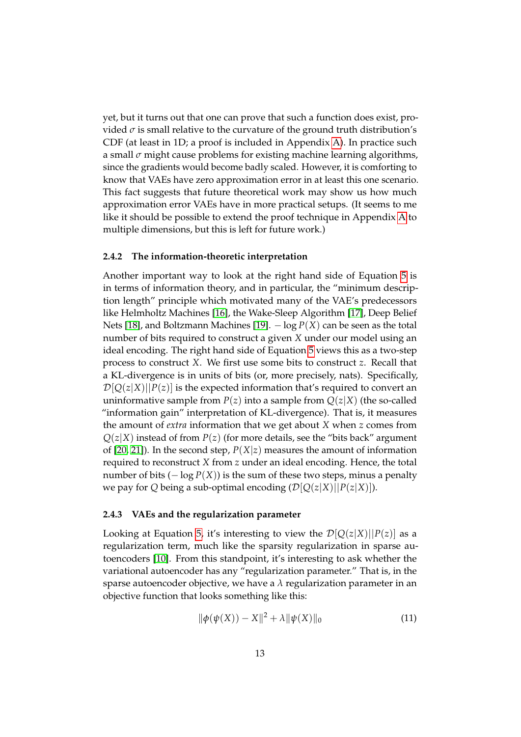yet, but it turns out that one can prove that such a function does exist, provided  $\sigma$  is small relative to the curvature of the ground truth distribution's CDF (at least in 1D; a proof is included in Appendix [A\)](#page-18-0). In practice such a small *σ* might cause problems for existing machine learning algorithms, since the gradients would become badly scaled. However, it is comforting to know that VAEs have zero approximation error in at least this one scenario. This fact suggests that future theoretical work may show us how much approximation error VAEs have in more practical setups. (It seems to me like it should be possible to extend the proof technique in Appendix [A](#page-18-0) to multiple dimensions, but this is left for future work.)

#### **2.4.2 The information-theoretic interpretation**

Another important way to look at the right hand side of Equation [5](#page-7-1) is in terms of information theory, and in particular, the "minimum description length" principle which motivated many of the VAE's predecessors like Helmholtz Machines [\[16\]](#page-21-9), the Wake-Sleep Algorithm [\[17\]](#page-21-10), Deep Belief Nets [\[18\]](#page-21-11), and Boltzmann Machines [\[19\]](#page-21-12). − log *P*(*X*) can be seen as the total number of bits required to construct a given *X* under our model using an ideal encoding. The right hand side of Equation [5](#page-7-1) views this as a two-step process to construct *X*. We first use some bits to construct *z*. Recall that a KL-divergence is in units of bits (or, more precisely, nats). Specifically,  $D[Q(z|X)||P(z)]$  is the expected information that's required to convert an uninformative sample from  $P(z)$  into a sample from  $Q(z|X)$  (the so-called "information gain" interpretation of KL-divergence). That is, it measures the amount of *extra* information that we get about *X* when *z* comes from  $Q(z|X)$  instead of from  $P(z)$  (for more details, see the "bits back" argument of [\[20,](#page-21-13) [21\]](#page-22-0)). In the second step, *P*(*X*|*z*) measures the amount of information required to reconstruct *X* from *z* under an ideal encoding. Hence, the total number of bits  $(-\log P(X))$  is the sum of these two steps, minus a penalty we pay for *Q* being a sub-optimal encoding  $(\mathcal{D}[Q(z|X)||P(z|X))$ .

#### **2.4.3 VAEs and the regularization parameter**

Looking at Equation [5,](#page-7-1) it's interesting to view the  $\mathcal{D}[Q(z|X)||P(z)]$  as a regularization term, much like the sparsity regularization in sparse autoencoders [\[10\]](#page-21-3). From this standpoint, it's interesting to ask whether the variational autoencoder has any "regularization parameter." That is, in the sparse autoencoder objective, we have a *λ* regularization parameter in an objective function that looks something like this:

$$
\|\phi(\psi(X)) - X\|^2 + \lambda \|\psi(X)\|_0 \tag{11}
$$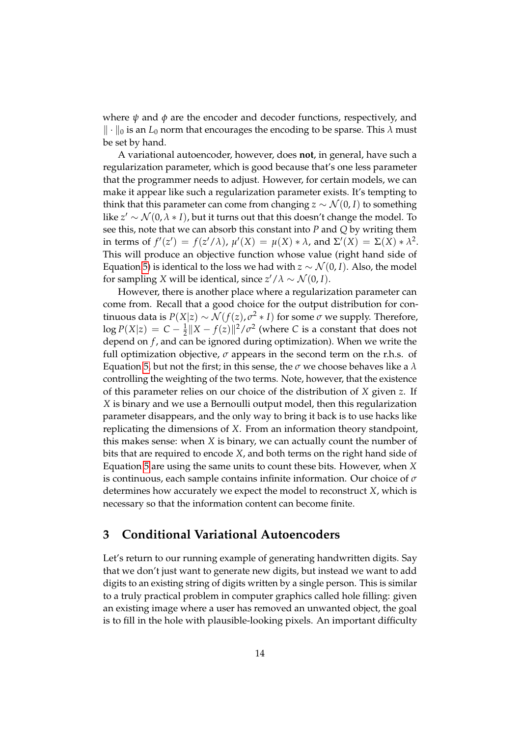where *ψ* and *φ* are the encoder and decoder functions, respectively, and  $\|\cdot\|_0$  is an *L*<sub>0</sub> norm that encourages the encoding to be sparse. This  $\lambda$  must be set by hand.

A variational autoencoder, however, does **not**, in general, have such a regularization parameter, which is good because that's one less parameter that the programmer needs to adjust. However, for certain models, we can make it appear like such a regularization parameter exists. It's tempting to think that this parameter can come from changing  $z \sim \mathcal{N}(0, I)$  to something like  $z' \sim \mathcal{N}(0, \lambda * I)$ , but it turns out that this doesn't change the model. To see this, note that we can absorb this constant into *P* and *Q* by writing them in terms of  $f'(z') = f(z'/\lambda)$ ,  $\mu'(X) = \mu(X) * \lambda$ , and  $\Sigma'(X) = \Sigma(X) * \lambda^2$ . This will produce an objective function whose value (right hand side of Equation [5\)](#page-7-1) is identical to the loss we had with  $z \sim \mathcal{N}(0, I)$ . Also, the model for sampling *X* will be identical, since  $z'/\lambda \sim \mathcal{N}(0, I)$ .

However, there is another place where a regularization parameter can come from. Recall that a good choice for the output distribution for continuous data is  $P(X|z) \sim \mathcal{N}(f(z), \sigma^2 * I)$  for some  $\sigma$  we supply. Therefore,  $\log P(X|z) = C - \frac{1}{2} \|X - f(z)\|^2 / \sigma^2$  (where *C* is a constant that does not depend on *f* , and can be ignored during optimization). When we write the full optimization objective,  $\sigma$  appears in the second term on the r.h.s. of Equation [5,](#page-7-1) but not the first; in this sense, the *σ* we choose behaves like a *λ* controlling the weighting of the two terms. Note, however, that the existence of this parameter relies on our choice of the distribution of *X* given *z*. If *X* is binary and we use a Bernoulli output model, then this regularization parameter disappears, and the only way to bring it back is to use hacks like replicating the dimensions of *X*. From an information theory standpoint, this makes sense: when *X* is binary, we can actually count the number of bits that are required to encode *X*, and both terms on the right hand side of Equation [5](#page-7-1) are using the same units to count these bits. However, when *X* is continuous, each sample contains infinite information. Our choice of *σ* determines how accurately we expect the model to reconstruct *X*, which is necessary so that the information content can become finite.

### **3 Conditional Variational Autoencoders**

Let's return to our running example of generating handwritten digits. Say that we don't just want to generate new digits, but instead we want to add digits to an existing string of digits written by a single person. This is similar to a truly practical problem in computer graphics called hole filling: given an existing image where a user has removed an unwanted object, the goal is to fill in the hole with plausible-looking pixels. An important difficulty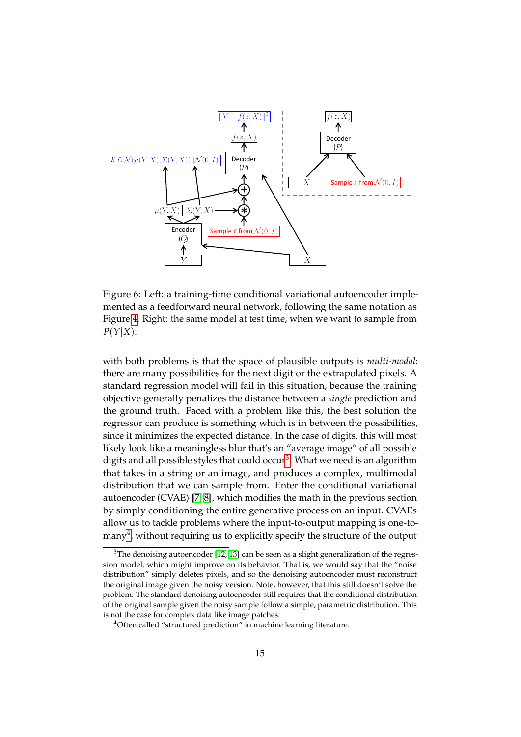

<span id="page-14-2"></span>Figure 6: Left: a training-time conditional variational autoencoder implemented as a feedforward neural network, following the same notation as Figure [4.](#page-9-2) Right: the same model at test time, when we want to sample from *P*(*Y*|*X*).

with both problems is that the space of plausible outputs is *multi-modal*: there are many possibilities for the next digit or the extrapolated pixels. A standard regression model will fail in this situation, because the training objective generally penalizes the distance between a *single* prediction and the ground truth. Faced with a problem like this, the best solution the regressor can produce is something which is in between the possibilities, since it minimizes the expected distance. In the case of digits, this will most likely look like a meaningless blur that's an "average image" of all possible digits and all possible styles that could occur<sup>[3](#page-14-0)</sup>. What we need is an algorithm that takes in a string or an image, and produces a complex, multimodal distribution that we can sample from. Enter the conditional variational autoencoder (CVAE) [\[7,](#page-21-0) [8\]](#page-21-1), which modifies the math in the previous section by simply conditioning the entire generative process on an input. CVAEs allow us to tackle problems where the input-to-output mapping is one-tomany $^4$  $^4$ , without requiring us to explicitly specify the structure of the output

<span id="page-14-0"></span> $3$ The denoising autoencoder [\[12,](#page-21-5) [13\]](#page-21-6) can be seen as a slight generalization of the regression model, which might improve on its behavior. That is, we would say that the "noise distribution" simply deletes pixels, and so the denoising autoencoder must reconstruct the original image given the noisy version. Note, however, that this still doesn't solve the problem. The standard denoising autoencoder still requires that the conditional distribution of the original sample given the noisy sample follow a simple, parametric distribution. This is not the case for complex data like image patches.

<span id="page-14-1"></span><sup>&</sup>lt;sup>4</sup>Often called "structured prediction" in machine learning literature.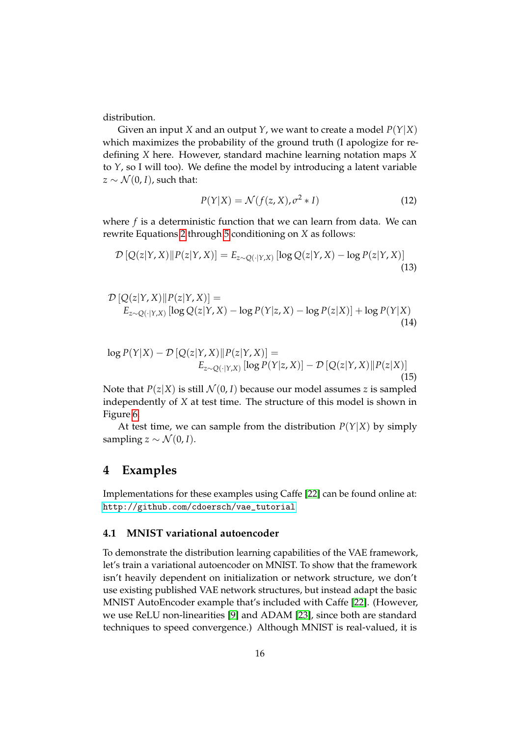distribution.

Given an input *X* and an output *Y*, we want to create a model *P*(*Y*|*X*) which maximizes the probability of the ground truth (I apologize for redefining *X* here. However, standard machine learning notation maps *X* to *Y*, so I will too). We define the model by introducing a latent variable  $z \sim \mathcal{N}(0, I)$ , such that:

$$
P(Y|X) = \mathcal{N}(f(z, X), \sigma^2 * I)
$$
 (12)

where *f* is a deterministic function that we can learn from data. We can rewrite Equations [2](#page-7-2) through [5](#page-7-1) conditioning on *X* as follows:

$$
\mathcal{D}\left[Q(z|Y,X)\|P(z|Y,X)\right] = E_{z \sim Q(\cdot|Y,X)}\left[\log Q(z|Y,X) - \log P(z|Y,X)\right]
$$
\n(13)

$$
\mathcal{D}\left[Q(z|Y,X)\|P(z|Y,X)\right] =
$$
\n
$$
E_{z \sim Q(\cdot|Y,X)}\left[\log Q(z|Y,X) - \log P(Y|z,X) - \log P(z|X)\right] + \log P(Y|X) \tag{14}
$$

$$
\log P(Y|X) - \mathcal{D}\left[Q(z|Y,X)\right]P(z|Y,X)\right] =
$$
  
\n
$$
E_{z \sim Q(\cdot|Y,X)}\left[\log P(Y|z,X)\right] - \mathcal{D}\left[Q(z|Y,X)\right]P(z|X)\right]
$$
\n(15)

Note that  $P(z|X)$  is still  $\mathcal{N}(0, I)$  because our model assumes *z* is sampled independently of *X* at test time. The structure of this model is shown in Figure [6.](#page-14-2)

At test time, we can sample from the distribution  $P(Y|X)$  by simply sampling  $z \sim \mathcal{N}(0, I)$ .

## **4 Examples**

Implementations for these examples using Caffe [\[22\]](#page-22-1) can be found online at: [http://github.com/cdoersch/vae\\_tutorial](http://github.com/cdoersch/vae_tutorial)

#### <span id="page-15-0"></span>**4.1 MNIST variational autoencoder**

To demonstrate the distribution learning capabilities of the VAE framework, let's train a variational autoencoder on MNIST. To show that the framework isn't heavily dependent on initialization or network structure, we don't use existing published VAE network structures, but instead adapt the basic MNIST AutoEncoder example that's included with Caffe [\[22\]](#page-22-1). (However, we use ReLU non-linearities [\[9\]](#page-21-2) and ADAM [\[23\]](#page-22-2), since both are standard techniques to speed convergence.) Although MNIST is real-valued, it is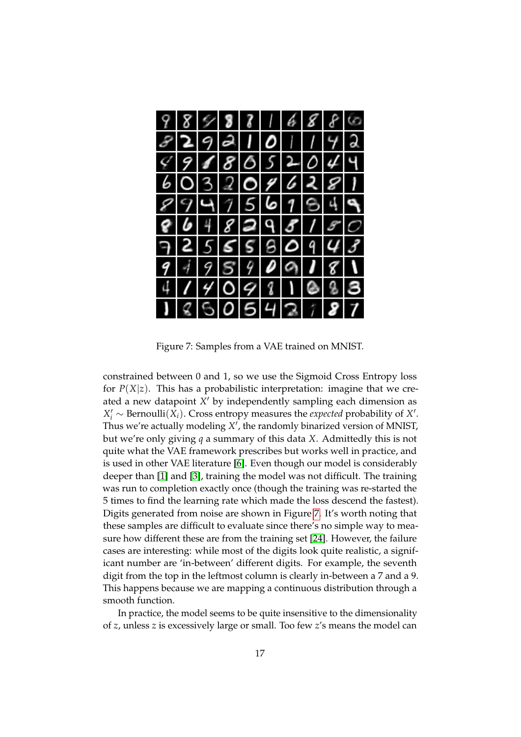

Figure 7: Samples from a VAE trained on MNIST.

<span id="page-16-0"></span>constrained between 0 and 1, so we use the Sigmoid Cross Entropy loss for  $P(X|z)$ . This has a probabilistic interpretation: imagine that we created a new datapoint X' by independently sampling each dimension as  $X_i' \sim \text{Bernoulli}(X_i)$ . Cross entropy measures the *expected* probability of *X'*. Thus we're actually modeling X', the randomly binarized version of MNIST, but we're only giving *q* a summary of this data *X*. Admittedly this is not quite what the VAE framework prescribes but works well in practice, and is used in other VAE literature [\[6\]](#page-20-5). Even though our model is considerably deeper than [\[1\]](#page-20-0) and [\[3\]](#page-20-2), training the model was not difficult. The training was run to completion exactly once (though the training was re-started the 5 times to find the learning rate which made the loss descend the fastest). Digits generated from noise are shown in Figure [7.](#page-16-0) It's worth noting that these samples are difficult to evaluate since there's no simple way to measure how different these are from the training set [\[24\]](#page-22-3). However, the failure cases are interesting: while most of the digits look quite realistic, a significant number are 'in-between' different digits. For example, the seventh digit from the top in the leftmost column is clearly in-between a 7 and a 9. This happens because we are mapping a continuous distribution through a smooth function.

In practice, the model seems to be quite insensitive to the dimensionality of *z*, unless *z* is excessively large or small. Too few *z*'s means the model can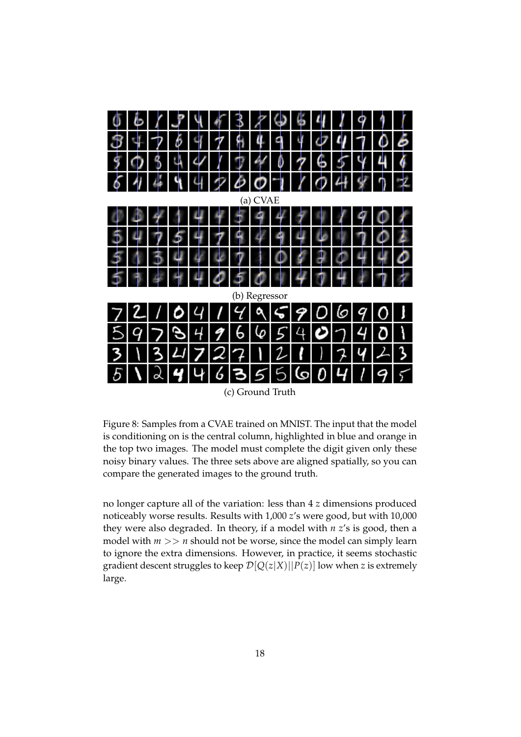|               | $\sqrt{ }$ | $\mathcal{F}$                                    |                           | 4 4 3 7 4 5 |  |          |                           |  | $\frac{1}{2}$<br>ı |              | $\overline{9}$ |                |   |  |
|---------------|------------|--------------------------------------------------|---------------------------|-------------|--|----------|---------------------------|--|--------------------|--------------|----------------|----------------|---|--|
|               |            | +  フ   ゟ   ٩   ク   워   4   ٩   4   4   4   4   1 |                           |             |  |          |                           |  |                    |              |                | $\overline{0}$ |   |  |
|               |            | $$$ 0 3 4                                        | $\sqrt{ }$                |             |  |          | $1$ $1$ $4$ 0 $7$ 6 $5$ 4 |  |                    |              |                |                |   |  |
|               |            | 6444                                             |                           | 420011048   |  |          |                           |  |                    |              |                | $\mathsf{L}$   |   |  |
|               |            |                                                  |                           |             |  | (a) CVAE |                           |  |                    |              |                |                |   |  |
|               |            | H                                                | 4                         | $+ +$       |  |          | 44                        |  |                    |              | - 47           |                |   |  |
|               |            | $\mathcal{F}$                                    | 4                         |             |  |          | 794946                    |  |                    | $\mathbb{Q}$ | <u> </u>       |                |   |  |
|               |            |                                                  | $\mathbb{Z}^{\mathbb{Z}}$ |             |  |          | 47104                     |  | L÷.                | $+4$         |                |                |   |  |
|               |            |                                                  |                           | 40504414    |  |          |                           |  |                    |              |                |                |   |  |
| (b) Regressor |            |                                                  |                           |             |  |          |                           |  |                    |              |                |                |   |  |
|               |            | 721104117795906901                               |                           |             |  |          |                           |  |                    |              |                |                |   |  |
|               |            | 5 9 7 8 4 9 6 6 5 4 0 7 4 0                      |                           |             |  |          |                           |  |                    |              |                |                | h |  |
|               |            | 3 1 3 4 7 2 7 1 2 1 1 7 4 4 3                    |                           |             |  |          |                           |  |                    |              |                |                |   |  |
|               |            | $5 \lambda 2 4 4 6 355 5 6 0 4 1 9 5$            |                           |             |  |          |                           |  |                    |              |                |                |   |  |

(c) Ground Truth

<span id="page-17-0"></span>Figure 8: Samples from a CVAE trained on MNIST. The input that the model is conditioning on is the central column, highlighted in blue and orange in the top two images. The model must complete the digit given only these noisy binary values. The three sets above are aligned spatially, so you can compare the generated images to the ground truth.

no longer capture all of the variation: less than 4 *z* dimensions produced noticeably worse results. Results with 1,000 *z*'s were good, but with 10,000 they were also degraded. In theory, if a model with *n z*'s is good, then a model with  $m \gg n$  should not be worse, since the model can simply learn to ignore the extra dimensions. However, in practice, it seems stochastic gradient descent struggles to keep  $\mathcal{D}[Q(z|X)||P(z)]$  low when *z* is extremely large.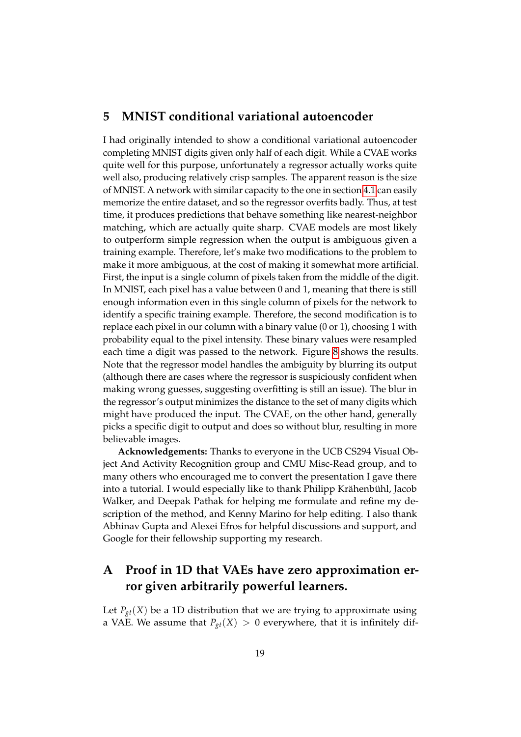### **5 MNIST conditional variational autoencoder**

I had originally intended to show a conditional variational autoencoder completing MNIST digits given only half of each digit. While a CVAE works quite well for this purpose, unfortunately a regressor actually works quite well also, producing relatively crisp samples. The apparent reason is the size of MNIST. A network with similar capacity to the one in section [4.1](#page-15-0) can easily memorize the entire dataset, and so the regressor overfits badly. Thus, at test time, it produces predictions that behave something like nearest-neighbor matching, which are actually quite sharp. CVAE models are most likely to outperform simple regression when the output is ambiguous given a training example. Therefore, let's make two modifications to the problem to make it more ambiguous, at the cost of making it somewhat more artificial. First, the input is a single column of pixels taken from the middle of the digit. In MNIST, each pixel has a value between 0 and 1, meaning that there is still enough information even in this single column of pixels for the network to identify a specific training example. Therefore, the second modification is to replace each pixel in our column with a binary value (0 or 1), choosing 1 with probability equal to the pixel intensity. These binary values were resampled each time a digit was passed to the network. Figure [8](#page-17-0) shows the results. Note that the regressor model handles the ambiguity by blurring its output (although there are cases where the regressor is suspiciously confident when making wrong guesses, suggesting overfitting is still an issue). The blur in the regressor's output minimizes the distance to the set of many digits which might have produced the input. The CVAE, on the other hand, generally picks a specific digit to output and does so without blur, resulting in more believable images.

**Acknowledgements:** Thanks to everyone in the UCB CS294 Visual Object And Activity Recognition group and CMU Misc-Read group, and to many others who encouraged me to convert the presentation I gave there into a tutorial. I would especially like to thank Philipp Krähenbühl, Jacob Walker, and Deepak Pathak for helping me formulate and refine my description of the method, and Kenny Marino for help editing. I also thank Abhinav Gupta and Alexei Efros for helpful discussions and support, and Google for their fellowship supporting my research.

# <span id="page-18-0"></span>**A Proof in 1D that VAEs have zero approximation error given arbitrarily powerful learners.**

Let  $P_{gt}(X)$  be a 1D distribution that we are trying to approximate using a VAE. We assume that  $P_{gt}(X) > 0$  everywhere, that it is infinitely dif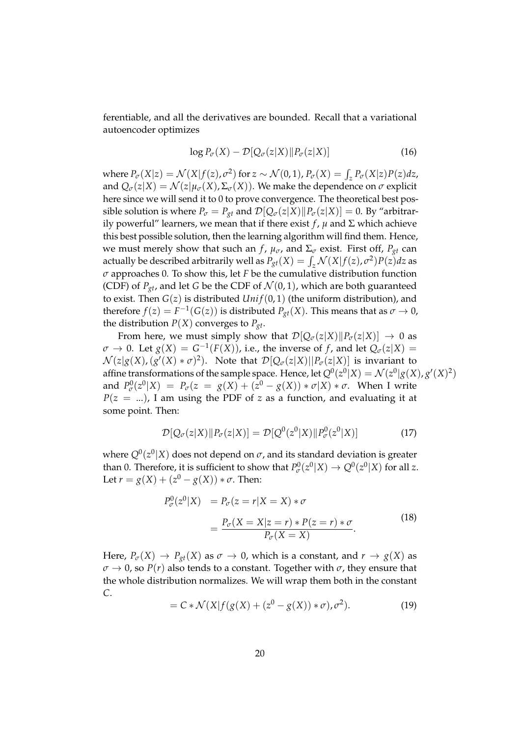ferentiable, and all the derivatives are bounded. Recall that a variational autoencoder optimizes

$$
\log P_{\sigma}(X) - \mathcal{D}[Q_{\sigma}(z|X) \| P_{\sigma}(z|X)] \tag{16}
$$

where  $P_{\sigma}(X|z) = \mathcal{N}(X|f(z), \sigma^2)$  for  $z \sim \mathcal{N}(0, 1)$ ,  $P_{\sigma}(X) = \int_z P_{\sigma}(X|z)P(z)dz$ , and  $Q_{\sigma}(z|X) = \mathcal{N}(z|\mu_{\sigma}(X), \Sigma_{\sigma}(X))$ . We make the dependence on  $\sigma$  explicit here since we will send it to 0 to prove convergence. The theoretical best possible solution is where  $P_{\sigma} = P_{gt}$  and  $\mathcal{D}[Q_{\sigma}(z|X)||P_{\sigma}(z|X)] = 0$ . By "arbitrarily powerful" learners, we mean that if there exist  $f$ ,  $\mu$  and  $\Sigma$  which achieve this best possible solution, then the learning algorithm will find them. Hence, we must merely show that such an *f*,  $\mu_{\sigma}$ , and  $\Sigma_{\sigma}$  exist. First off,  $P_{gt}$  can actually be described arbitrarily well as  $P_{gt}(X) = \int_z \mathcal{N}(X|f(z), \sigma^2) P(z) dz$  as *σ* approaches 0. To show this, let *F* be the cumulative distribution function (CDF) of  $P_{gt}$ , and let *G* be the CDF of  $\mathcal{N}(0, 1)$ , which are both guaranteed to exist. Then  $G(z)$  is distributed  $Unif(0, 1)$  (the uniform distribution), and therefore  $f(z) = F^{-1}(G(z))$  is distributed  $P_{gt}(X)$ . This means that as  $\sigma \to 0$ , the distribution  $P(X)$  converges to  $P_{gt}$ .

From here, we must simply show that  $\mathcal{D}[Q_{\sigma}(z|X)||P_{\sigma}(z|X)] \rightarrow 0$  as  $\sigma \to 0$ . Let  $g(X) = G^{-1}(F(X))$ , i.e., the inverse of *f*, and let  $Q_{\sigma}(z|X) =$  $\mathcal{N}(z|g(X), (g'(X)*\sigma)^2)$ . Note that  $\mathcal{D}[Q_{\sigma}(z|X)||P_{\sigma}(z|X)]$  is invariant to affine transformations of the sample space. Hence, let  $Q^0(z^0|X) = \mathcal{N}(z^0|g(X), g'(X)^2)$ and  $P_{\sigma}^{0}(z^{0}|X) = P_{\sigma}(z = g(X) + (z^{0} - g(X)) * \sigma |X) * \sigma$ . When I write  $P(z = ...)$ , I am using the PDF of *z* as a function, and evaluating it at some point. Then:

$$
\mathcal{D}[Q_{\sigma}(z|X)||P_{\sigma}(z|X)] = \mathcal{D}[Q^{0}(z^{0}|X)||P^{0}_{\sigma}(z^{0}|X)] \qquad (17)
$$

where  $Q^0(z^0|X)$  does not depend on  $\sigma$ , and its standard deviation is greater than 0. Therefore, it is sufficient to show that  $P^0_{\sigma}(z^0|X) \to Q^0(z^0|X)$  for all *z*. Let  $r = g(X) + (z^0 - g(X)) * \sigma$ . Then:

$$
P_{\sigma}^{0}(z^{0}|X) = P_{\sigma}(z=r|X=X) * \sigma
$$
  
= 
$$
\frac{P_{\sigma}(X=X|z=r) * P(z=r) * \sigma}{P_{\sigma}(X=X)}.
$$
 (18)

Here,  $P_{\sigma}(X) \to P_{gt}(X)$  as  $\sigma \to 0$ , which is a constant, and  $r \to g(X)$  as  $\sigma \to 0$ , so *P*(*r*) also tends to a constant. Together with  $\sigma$ , they ensure that the whole distribution normalizes. We will wrap them both in the constant *C*.

$$
= C * \mathcal{N}(X|f(g(X) + (z^0 - g(X)) * \sigma), \sigma^2).
$$
 (19)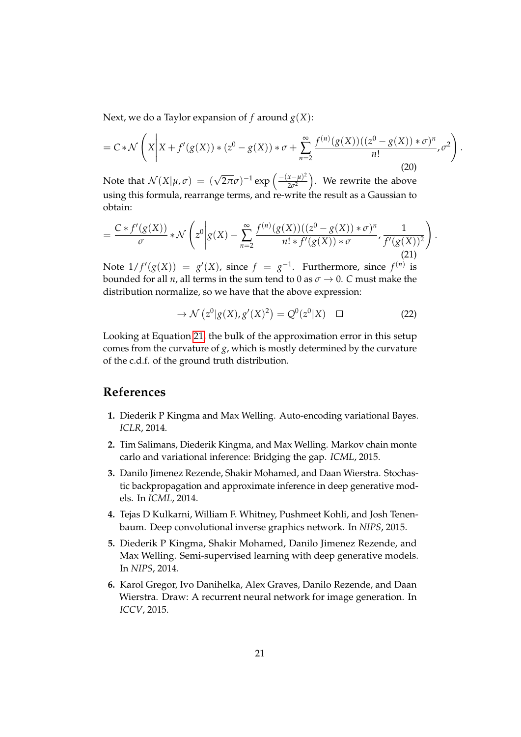Next, we do a Taylor expansion of  $f$  around  $g(X)$ :

$$
= C * \mathcal{N}\left(X\middle|X + f'(g(X)) * (z^0 - g(X)) * \sigma + \sum_{n=2}^{\infty} \frac{f^{(n)}(g(X))((z^0 - g(X)) * \sigma)^n}{n!}, \sigma^2\right).
$$
\n(20)

Note that  $\mathcal{N}(X|\mu,\sigma) = (\sqrt{2\pi}\sigma)^{-1} \exp\left(\frac{-(x-\mu)^2}{2\sigma^2}\right)$ . We rewrite the above  $\left(\frac{x-\mu}{2\sigma^2}\right)$ . We rewrite the above using this formula, rearrange terms, and re-write the result as a Gaussian to obtain:

<span id="page-20-6"></span>
$$
=\frac{C*f'(g(X))}{\sigma} * \mathcal{N}\left(z^{0}\bigg|g(X) - \sum_{n=2}^{\infty} \frac{f^{(n)}(g(X))((z^{0}-g(X)) * \sigma)^{n}}{n! * f'(g(X)) * \sigma}, \frac{1}{f'(g(X))^{2}}\right)
$$
\n(21)

Note  $1/f'(g(X)) = g'(X)$ , since  $f = g^{-1}$ . Furthermore, since  $f^{(n)}$  is bounded for all *n*, all terms in the sum tend to 0 as  $\sigma \rightarrow 0$ . *C* must make the distribution normalize, so we have that the above expression:

$$
\rightarrow \mathcal{N}\left(z^{0} | g(X), g'(X)^{2}\right) = Q^{0}(z^{0} | X) \quad \Box \tag{22}
$$

.

Looking at Equation [21,](#page-20-6) the bulk of the approximation error in this setup comes from the curvature of *g*, which is mostly determined by the curvature of the c.d.f. of the ground truth distribution.

### **References**

- <span id="page-20-0"></span>**1.** Diederik P Kingma and Max Welling. Auto-encoding variational Bayes. *ICLR*, 2014.
- <span id="page-20-1"></span>**2.** Tim Salimans, Diederik Kingma, and Max Welling. Markov chain monte carlo and variational inference: Bridging the gap. *ICML*, 2015.
- <span id="page-20-2"></span>**3.** Danilo Jimenez Rezende, Shakir Mohamed, and Daan Wierstra. Stochastic backpropagation and approximate inference in deep generative models. In *ICML*, 2014.
- <span id="page-20-3"></span>**4.** Tejas D Kulkarni, William F. Whitney, Pushmeet Kohli, and Josh Tenenbaum. Deep convolutional inverse graphics network. In *NIPS*, 2015.
- <span id="page-20-4"></span>**5.** Diederik P Kingma, Shakir Mohamed, Danilo Jimenez Rezende, and Max Welling. Semi-supervised learning with deep generative models. In *NIPS*, 2014.
- <span id="page-20-5"></span>**6.** Karol Gregor, Ivo Danihelka, Alex Graves, Danilo Rezende, and Daan Wierstra. Draw: A recurrent neural network for image generation. In *ICCV*, 2015.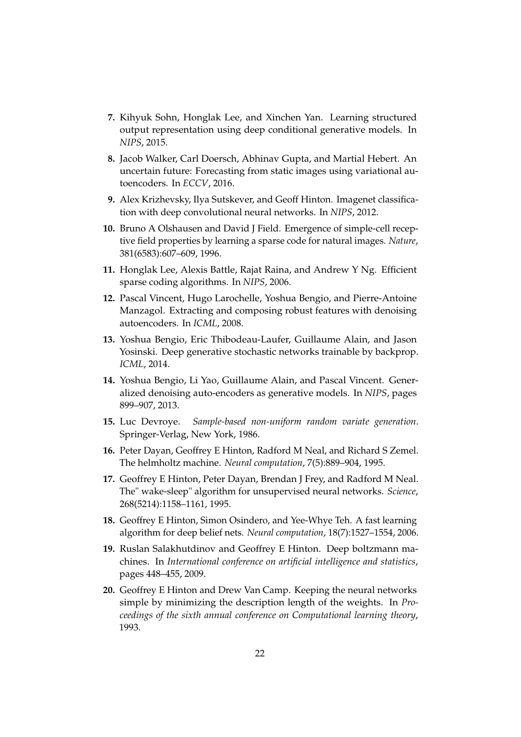- <span id="page-21-0"></span>**7.** Kihyuk Sohn, Honglak Lee, and Xinchen Yan. Learning structured output representation using deep conditional generative models. In *NIPS*, 2015.
- <span id="page-21-1"></span>**8.** Jacob Walker, Carl Doersch, Abhinav Gupta, and Martial Hebert. An uncertain future: Forecasting from static images using variational autoencoders. In *ECCV*, 2016.
- <span id="page-21-2"></span>**9.** Alex Krizhevsky, Ilya Sutskever, and Geoff Hinton. Imagenet classification with deep convolutional neural networks. In *NIPS*, 2012.
- <span id="page-21-3"></span>**10.** Bruno A Olshausen and David J Field. Emergence of simple-cell receptive field properties by learning a sparse code for natural images. *Nature*, 381(6583):607–609, 1996.
- <span id="page-21-4"></span>**11.** Honglak Lee, Alexis Battle, Rajat Raina, and Andrew Y Ng. Efficient sparse coding algorithms. In *NIPS*, 2006.
- <span id="page-21-5"></span>**12.** Pascal Vincent, Hugo Larochelle, Yoshua Bengio, and Pierre-Antoine Manzagol. Extracting and composing robust features with denoising autoencoders. In *ICML*, 2008.
- <span id="page-21-6"></span>**13.** Yoshua Bengio, Eric Thibodeau-Laufer, Guillaume Alain, and Jason Yosinski. Deep generative stochastic networks trainable by backprop. *ICML*, 2014.
- <span id="page-21-7"></span>**14.** Yoshua Bengio, Li Yao, Guillaume Alain, and Pascal Vincent. Generalized denoising auto-encoders as generative models. In *NIPS*, pages 899–907, 2013.
- <span id="page-21-8"></span>**15.** Luc Devroye. *Sample-based non-uniform random variate generation*. Springer-Verlag, New York, 1986.
- <span id="page-21-9"></span>**16.** Peter Dayan, Geoffrey E Hinton, Radford M Neal, and Richard S Zemel. The helmholtz machine. *Neural computation*, 7(5):889–904, 1995.
- <span id="page-21-10"></span>**17.** Geoffrey E Hinton, Peter Dayan, Brendan J Frey, and Radford M Neal. The" wake-sleep" algorithm for unsupervised neural networks. *Science*, 268(5214):1158–1161, 1995.
- <span id="page-21-11"></span>**18.** Geoffrey E Hinton, Simon Osindero, and Yee-Whye Teh. A fast learning algorithm for deep belief nets. *Neural computation*, 18(7):1527–1554, 2006.
- <span id="page-21-12"></span>**19.** Ruslan Salakhutdinov and Geoffrey E Hinton. Deep boltzmann machines. In *International conference on artificial intelligence and statistics*, pages 448–455, 2009.
- <span id="page-21-13"></span>**20.** Geoffrey E Hinton and Drew Van Camp. Keeping the neural networks simple by minimizing the description length of the weights. In *Proceedings of the sixth annual conference on Computational learning theory*, 1993.